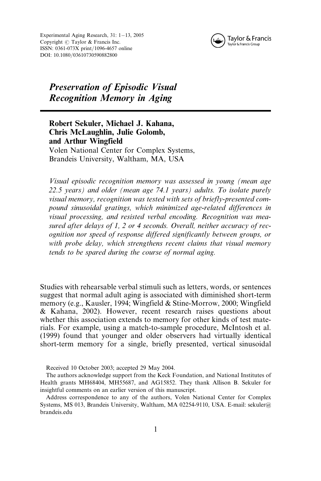Experimental Aging Research,  $31: 1-13$ , 2005 Copyright  $\odot$  Taylor & Francis Inc. ISSN: 0361-073X print/1096-4657 online DOI: 10.1080/03610730590882800



# Preservation of Episodic Visual Recognition Memory in Aging

Robert Sekuler, Michael J. Kahana, Chris McLaughlin, Julie Golomb, and Arthur Wingfield Volen National Center for Complex Systems, Brandeis University, Waltham, MA, USA

Visual episodic recognition memory was assessed in young (mean age 22.5 years) and older (mean age 74.1 years) adults. To isolate purely visual memory, recognition was tested with sets of briefly-presented compound sinusoidal gratings, which minimized age-related differences in visual processing, and resisted verbal encoding. Recognition was measured after delays of 1, 2 or 4 seconds. Overall, neither accuracy of recognition nor speed of response differed significantly between groups, or with probe delay, which strengthens recent claims that visual memory tends to be spared during the course of normal aging.

Studies with rehearsable verbal stimuli such as letters, words, or sentences suggest that normal adult aging is associated with diminished short-term memory (e.g., Kausler, 1994; Wingfield & Stine-Morrow, 2000; Wingfield & Kahana, 2002). However, recent research raises questions about whether this association extends to memory for other kinds of test materials. For example, using a match-to-sample procedure, McIntosh et al. (1999) found that younger and older observers had virtually identical short-term memory for a single, briefly presented, vertical sinusoidal

Received 10 October 2003; accepted 29 May 2004.

The authors acknowledge support from the Keck Foundation, and National Institutes of Health grants MH68404, MH55687, and AG15852. They thank Allison B. Sekuler for insightful comments on an earlier version of this manuscript.

Address correspondence to any of the authors, Volen National Center for Complex Systems, MS 013, Brandeis University, Waltham, MA 02254-9110, USA. E-mail: sekuler@ brandeis.edu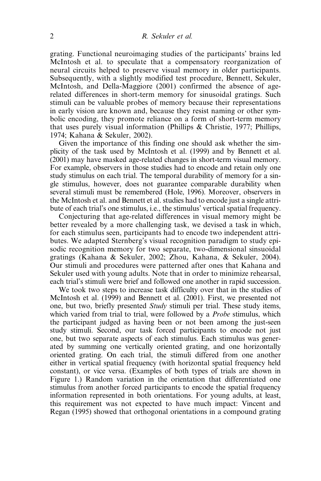grating. Functional neuroimaging studies of the participants' brains led McIntosh et al. to speculate that a compensatory reorganization of neural circuits helped to preserve visual memory in older participants. Subsequently, with a slightly modified test procedure, Bennett, Sekuler, McIntosh, and Della-Maggiore (2001) confirmed the absence of agerelated differences in short-term memory for sinusoidal gratings. Such stimuli can be valuable probes of memory because their representations in early vision are known and, because they resist naming or other symbolic encoding, they promote reliance on a form of short-term memory that uses purely visual information (Phillips & Christie, 1977; Phillips, 1974; Kahana & Sekuler, 2002).

Given the importance of this finding one should ask whether the simplicity of the task used by McIntosh et al. (1999) and by Bennett et al. (2001) may have masked age-related changes in short-term visual memory. For example, observers in those studies had to encode and retain only one study stimulus on each trial. The temporal durability of memory for a single stimulus, however, does not guarantee comparable durability when several stimuli must be remembered (Hole, 1996). Moreover, observers in the McIntosh et al. and Bennett et al. studies had to encode just a single attribute of each trial's one stimulus, i.e., the stimulus' vertical spatial frequency.

Conjecturing that age-related differences in visual memory might be better revealed by a more challenging task, we devised a task in which, for each stimulus seen, participants had to encode two independent attributes. We adapted Sternberg's visual recognition paradigm to study episodic recognition memory for two separate, two-dimensional sinsuoidal gratings (Kahana & Sekuler, 2002; Zhou, Kahana, & Sekuler, 2004). Our stimuli and procedures were patterned after ones that Kahana and Sekuler used with young adults. Note that in order to minimize rehearsal, each trial's stimuli were brief and followed one another in rapid succession.

We took two steps to increase task difficulty over that in the studies of McIntosh et al. (1999) and Bennett et al. (2001). First, we presented not one, but two, briefly presented Study stimuli per trial. These study items, which varied from trial to trial, were followed by a *Probe* stimulus, which the participant judged as having been or not been among the just-seen study stimuli. Second, our task forced participants to encode not just one, but two separate aspects of each stimulus. Each stimulus was generated by summing one vertically oriented grating, and one horizontally oriented grating. On each trial, the stimuli differed from one another either in vertical spatial frequency (with horizontal spatial frequency held constant), or vice versa. (Examples of both types of trials are shown in Figure 1.) Random variation in the orientation that differentiated one stimulus from another forced participants to encode the spatial frequency information represented in both orientations. For young adults, at least, this requirement was not expected to have much impact: Vincent and Regan (1995) showed that orthogonal orientations in a compound grating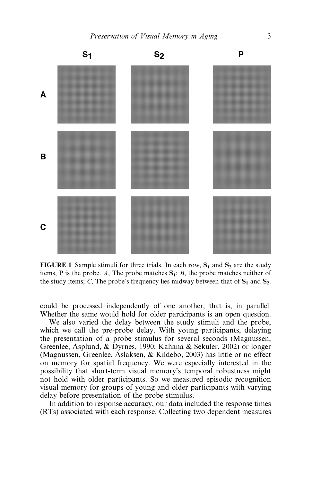

FIGURE 1 Sample stimuli for three trials. In each row,  $S_1$  and  $S_2$  are the study items, P is the probe. A, The probe matches  $S_1$ ; B, the probe matches neither of the study items; C, The probe's frequency lies midway between that of  $S_1$  and  $S_2$ .

could be processed independently of one another, that is, in parallel. Whether the same would hold for older participants is an open question.

We also varied the delay between the study stimuli and the probe, which we call the pre-probe delay. With young participants, delaying the presentation of a probe stimulus for several seconds (Magnussen, Greenlee, Asplund, & Dyrnes, 1990; Kahana & Sekuler, 2002) or longer (Magnussen, Greenlee, Aslaksen, & Kildebo, 2003) has little or no effect on memory for spatial frequency. We were especially interested in the possibility that short-term visual memory's temporal robustness might not hold with older participants. So we measured episodic recognition visual memory for groups of young and older participants with varying delay before presentation of the probe stimulus.

In addition to response accuracy, our data included the response times (RTs) associated with each response. Collecting two dependent measures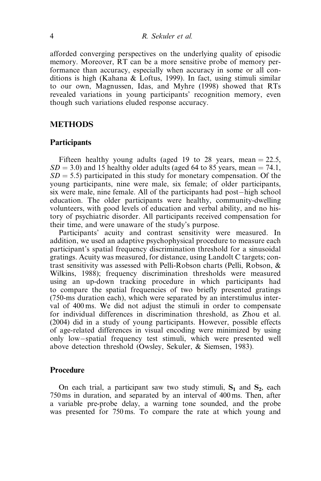afforded converging perspectives on the underlying quality of episodic memory. Moreover, RT can be a more sensitive probe of memory performance than accuracy, especially when accuracy in some or all conditions is high (Kahana & Loftus, 1999). In fact, using stimuli similar to our own, Magnussen, Idas, and Myhre (1998) showed that RTs revealed variations in young participants' recognition memory, even though such variations eluded response accuracy.

# METHODS

## **Participants**

Fifteen healthy young adults (aged 19 to 28 years, mean  $= 22.5$ ,  $SD = 3.0$ ) and 15 healthy older adults (aged 64 to 85 years, mean = 74.1,  $SD = 5.5$ ) participated in this study for monetary compensation. Of the young participants, nine were male, six female; of older participants, six were male, nine female. All of the participants had post-high school education. The older participants were healthy, community-dwelling volunteers, with good levels of education and verbal ability, and no history of psychiatric disorder. All participants received compensation for their time, and were unaware of the study's purpose.

Participants' acuity and contrast sensitivity were measured. In addition, we used an adaptive psychophysical procedure to measure each participant's spatial frequency discrimination threshold for a sinusoidal gratings. Acuity was measured, for distance, using Landolt C targets; contrast sensitivity was assessed with Pelli-Robson charts (Pelli, Robson, & Wilkins, 1988); frequency discrimination thresholds were measured using an up-down tracking procedure in which participants had to compare the spatial frequencies of two briefly presented gratings (750-ms duration each), which were separated by an interstimulus interval of 400 ms. We did not adjust the stimuli in order to compensate for individual differences in discrimination threshold, as Zhou et al. (2004) did in a study of young participants. However, possible effects of age-related differences in visual encoding were minimized by using only low-spatial frequency test stimuli, which were presented well above detection threshold (Owsley, Sekuler, & Siemsen, 1983).

# Procedure

On each trial, a participant saw two study stimuli,  $S_1$  and  $S_2$ , each 750 ms in duration, and separated by an interval of 400 ms. Then, after a variable pre-probe delay, a warning tone sounded, and the probe was presented for 750 ms. To compare the rate at which young and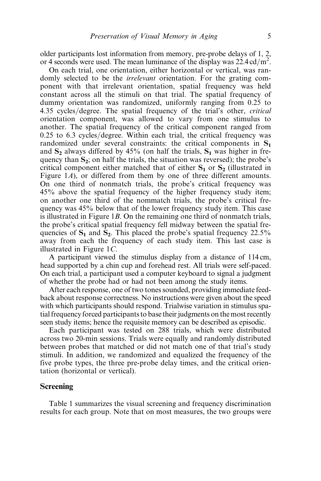older participants lost information from memory, pre-probe delays of 1, 2, or 4 seconds were used. The mean luminance of the display was  $22.4 \text{ cd/m}^2$ .

On each trial, one orientation, either horizontal or vertical, was randomly selected to be the *irrelevant* orientation. For the grating component with that irrelevant orientation, spatial frequency was held constant across all the stimuli on that trial. The spatial frequency of dummy orientation was randomized, uniformly ranging from 0.25 to 4.35 cycles/degree. The spatial frequency of the trial's other, *critical* orientation component, was allowed to vary from one stimulus to another. The spatial frequency of the critical component ranged from  $0.25$  to  $6.3$  cycles/degree. Within each trial, the critical frequency was randomized under several constraints: the critical components in  $S_1$ and  $S_2$  always differed by 45% (on half the trials,  $S_1$  was higher in frequency than  $S_2$ ; on half the trials, the situation was reversed); the probe's critical component either matched that of either  $S_1$  or  $S_2$  (illustrated in Figure 1A), or differed from them by one of three different amounts. On one third of nonmatch trials, the probe's critical frequency was 45% above the spatial frequency of the higher frequency study item; on another one third of the nommatch trials, the probe's critical frequency was 45% below that of the lower frequency study item. This case is illustrated in Figure 1B. On the remaining one third of nonmatch trials, the probe's critical spatial frequency fell midway between the spatial frequencies of  $S_1$  and  $S_2$ . This placed the probe's spatial frequency 22.5% away from each the frequency of each study item. This last case is illustrated in Figure 1C.

A participant viewed the stimulus display from a distance of 114 cm, head supported by a chin cup and forehead rest. All trials were self-paced. On each trial, a participant used a computer keyboard to signal a judgment of whether the probe had or had not been among the study items.

After each response, one of two tones sounded, providing immediate feedback about response correctness. No instructions were given about the speed with which participants should respond. Trialwise variation in stimulus spatial frequency forced participants to base their judgments on the most recently seen study items; hence the requisite memory can be described as episodic.

Each participant was tested on 288 trials, which were distributed across two 20-min sessions. Trials were equally and randomly distributed between probes that matched or did not match one of that trial's study stimuli. In addition, we randomized and equalized the frequency of the five probe types, the three pre-probe delay times, and the critical orientation (horizontal or vertical).

# Screening

Table 1 summarizes the visual screening and frequency discrimination results for each group. Note that on most measures, the two groups were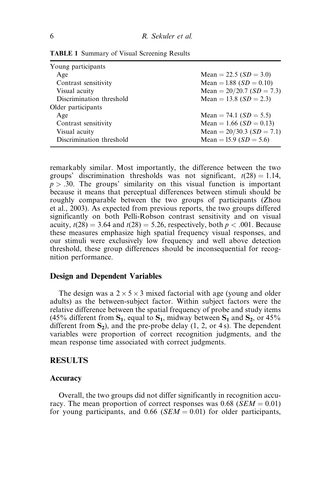| Young participants       |                             |
|--------------------------|-----------------------------|
| Age                      | Mean = 22.5 $(SD = 3.0)$    |
| Contrast sensitivity     | Mean = 1.88 $(SD = 0.10)$   |
| Visual acuity            | Mean = $20/20.7$ (SD = 7.3) |
| Discrimination threshold | Mean = 13.8 $(SD = 2.3)$    |
| Older participants       |                             |
| Age                      | Mean = 74.1 $(SD = 5.5)$    |
| Contrast sensitivity     | Mean = 1.66 ( $SD = 0.13$ ) |
| Visual acuity            | Mean = $20/30.3$ (SD = 7.1) |
| Discrimination threshold | Mean = 15.9 ( $SD = 5.6$ )  |

TABLE 1 Summary of Visual Screening Results

remarkably similar. Most importantly, the difference between the two groups' discrimination thresholds was not significant,  $t(28) = 1.14$ ,  $p > .30$ . The groups' similarity on this visual function is important because it means that perceptual differences between stimuli should be roughly comparable between the two groups of participants (Zhou et al., 2003). As expected from previous reports, the two groups differed significantly on both Pelli-Robson contrast sensitivity and on visual acuity,  $t(28) = 3.64$  and  $t(28) = 5.26$ , respectively, both  $p < .001$ . Because these measures emphasize high spatial frequency visual responses, and our stimuli were exclusively low frequency and well above detection threshold, these group differences should be inconsequential for recognition performance.

# Design and Dependent Variables

The design was a  $2 \times 5 \times 3$  mixed factorial with age (young and older adults) as the between-subject factor. Within subject factors were the relative difference between the spatial frequency of probe and study items (45% different from  $S_1$ , equal to  $S_1$ , midway between  $S_1$  and  $S_2$ , or 45% different from  $S_2$ ), and the pre-probe delay  $(1, 2, 0r 4s)$ . The dependent variables were proportion of correct recognition judgments, and the mean response time associated with correct judgments.

# RESULTS

#### Accuracy

Overall, the two groups did not differ significantly in recognition accuracy. The mean proportion of correct responses was  $0.68$  (*SEM* = 0.01) for young participants, and 0.66 ( $SEM = 0.01$ ) for older participants,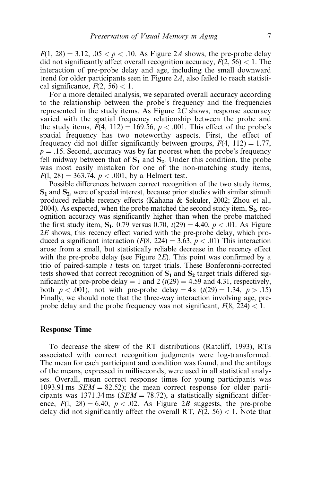$F(1, 28) = 3.12, 0.05 < p < 0.10$ . As Figure 2A shows, the pre-probe delay did not significantly affect overall recognition accuracy,  $F(2, 56) < 1$ . The interaction of pre-probe delay and age, including the small downward trend for older participants seen in Figure 2A, also failed to reach statistical significance,  $F(2, 56) < 1$ .

For a more detailed analysis, we separated overall accuracy according to the relationship between the probe's frequency and the frequencies represented in the study items. As Figure  $2C$  shows, response accuracy varied with the spatial frequency relationship between the probe and the study items,  $F(4, 112) = 169.56$ ,  $p < .001$ . This effect of the probe's spatial frequency has two noteworthy aspects. First, the effect of frequency did not differ significantly between groups,  $F(4, 112) = 1.77$ ,  $p = .15$ . Second, accuracy was by far poorest when the probe's frequency fell midway between that of  $S_1$  and  $S_2$ . Under this condition, the probe was most easily mistaken for one of the non-matching study items,  $F(1, 28) = 363.74$ ,  $p < .001$ , by a Helmert test.

Possible differences between correct recognition of the two study items,  $S_1$  and  $S_2$ , were of special interest, because prior studies with similar stimuli produced reliable recency effects (Kahana & Sekuler, 2002; Zhou et al., 2004). As expected, when the probe matched the second study item,  $S_2$ , recognition accuracy was significantly higher than when the probe matched the first study item,  $S_1$ , 0.79 versus 0.70,  $t(29) = 4.40$ ,  $p < .01$ . As Figure 2E shows, this recency effect varied with the pre-probe delay, which produced a significant interaction ( $F(8, 224) = 3.63$ ,  $p < .01$ ) This interaction arose from a small, but statistically reliable decrease in the recency effect with the pre-probe delay (see Figure  $2E$ ). This point was confirmed by a trio of paired-sample  $t$  tests on target trials. These Bonferonni-corrected tests showed that correct recognition of  $S_1$  and  $S_2$  target trials differed significantly at pre-probe delay = 1 and 2 ( $t(29) = 4.59$  and 4.31, respectively, both  $p < .001$ ), not with pre-probe delay = 4s  $(t(29) = 1.34, p > .15)$ Finally, we should note that the three-way interaction involving age, preprobe delay and the probe frequency was not significant,  $F(8, 224) < 1$ .

# Response Time

To decrease the skew of the RT distributions (Ratcliff, 1993), RTs associated with correct recognition judgments were log-transformed. The mean for each participant and condition was found, and the antilogs of the means, expressed in milliseconds, were used in all statistical analyses. Overall, mean correct response times for young participants was 1093.91 ms  $SEM = 82.52$ ; the mean correct response for older participants was 1371.34 ms ( $SEM = 78.72$ ), a statistically significant difference,  $F(1, 28) = 6.40$ ,  $p < .02$ . As Figure 2B suggests, the pre-probe delay did not significantly affect the overall RT,  $F(2, 56) < 1$ . Note that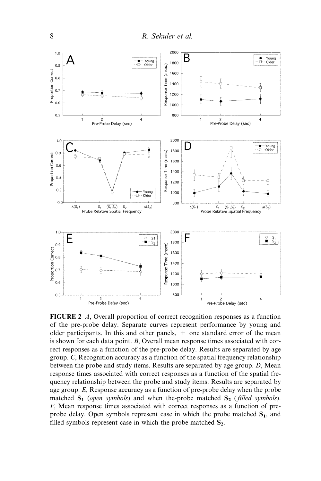

FIGURE 2 A, Overall proportion of correct recognition responses as a function of the pre-probe delay. Separate curves represent performance by young and older participants. In this and other panels,  $\pm$  one standard error of the mean is shown for each data point. B, Overall mean response times associated with correct responses as a function of the pre-probe delay. Results are separated by age group. C, Recognition accuracy as a function of the spatial frequency relationship between the probe and study items. Results are separated by age group. D, Mean response times associated with correct responses as a function of the spatial frequency relationship between the probe and study items. Results are separated by age group. E, Response accuracy as a function of pre-probe delay when the probe matched  $S_1$  (open symbols) and when the-probe matched  $S_2$  (filled symbols). F, Mean response times associated with correct responses as a function of preprobe delay. Open symbols represent case in which the probe matched  $S_1$ , and filled symbols represent case in which the probe matched  $S_2$ .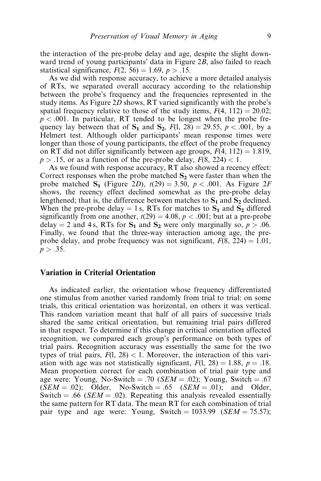the interaction of the pre-probe delay and age, despite the slight downward trend of young participants' data in Figure 2B, also failed to reach statistical significance,  $F(2, 56) = 1.69$ ,  $p > .15$ .

As we did with response accuracy, to achieve a more detailed analysis of RTs, we separated overall accuracy according to the relationship between the probe's frequency and the frequencies represented in the study items. As Figure 2D shows, RT varied significantly with the probe's spatial frequency relative to those of the study items,  $F(4, 112) = 20.02$ ;  $p < .001$ . In particular, RT tended to be longest when the probe frequency lay between that of  $S_1$  and  $S_2$ ,  $F(1, 28) = 29.55$ ,  $p < .001$ , by a Helmert test. Although older participants' mean response times were longer than those of young participants, the effect of the probe frequency on RT did not differ significantly between age groups,  $F(4, 112) = 1.819$ ,  $p > .15$ , or as a function of the pre-probe delay,  $F(8, 224) < 1$ .

As we found with response accuracy, RT also showed a recency effect: Correct responses when the probe matched  $S<sub>2</sub>$  were faster than when the probe matched  $S_1$  (Figure 2D),  $t(29) = 3.50$ ,  $p < .001$ . As Figure 2F shows, the recency effect declined somewhat as the pre-probe delay lengthened; that is, the difference between matches to  $S_1$  and  $S_2$  declined. When the pre-probe delay = 1 s, RTs for matches to  $S_1$  and  $S_2$  differed significantly from one another,  $t(29) = 4.08$ ,  $p < .001$ ; but at a pre-probe delay = 2 and 4 s, RTs for  $S_1$  and  $S_2$  were only marginally so,  $p > .06$ . Finally, we found that the three-way interaction among age, the preprobe delay, and probe frequency was not significant,  $F(8, 224) = 1.01$ ,  $p > .35$ .

# Variation in Criterial Orientation

As indicated earlier, the orientation whose frequency differentiated one stimulus from another varied randomly from trial to trial: on some trials, this critical orientation was horizontal, on others it was vertical. This random variation meant that half of all pairs of successive trials shared the same critical orientation, but remaining trial pairs differed in that respect. To determine if this change in critical orientation affected recognition, we compared each group's performance on both types of trial pairs. Recognition accuracy was essentially the same for the two types of trial pairs,  $F(1, 28) < 1$ . Moreover, the interaction of this variation with age was not statistically significant,  $F(1, 28) = 1.88$ ,  $p = .18$ . Mean proportion correct for each combination of trial pair type and age were: Young, No-Switch  $= .70$  (*SEM*  $= .02$ ); Young, Switch  $= .67$  $(SEM = .02)$ ; Older, No-Switch = .65  $(SEM = .01)$ ; and Older, Switch = .66 ( $SEM = .02$ ). Repeating this analysis revealed essentially the same pattern for RT data. The mean RT for each combination of trial pair type and age were: Young, Switch =  $1033.99$  (SEM = 75.57);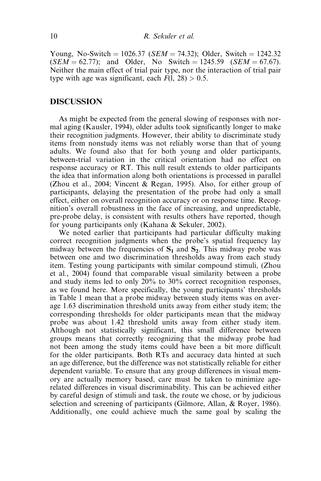Young, No-Switch =  $1026.37$  (*SEM* = 74.32); Older, Switch =  $1242.32$  $(SEM = 62.77)$ ; and Older, No Switch = 1245.59 (SEM = 67.67). Neither the main effect of trial pair type, nor the interaction of trial pair type with age was significant, each  $F(1, 28) > 0.5$ .

#### DISCUSSION

As might be expected from the general slowing of responses with normal aging (Kausler, 1994), older adults took significantly longer to make their recognition judgments. However, their ability to discriminate study items from nonstudy items was not reliably worse than that of young adults. We found also that for both young and older participants, between-trial variation in the critical orientation had no effect on response accuracy or RT. This null result extends to older participants the idea that information along both orientations is processed in parallel (Zhou et al., 2004; Vincent & Regan, 1995). Also, for either group of participants, delaying the presentation of the probe had only a small effect, either on overall recognition accuracy or on response time. Recognition's overall robustness in the face of increasing, and unpredictable, pre-probe delay, is consistent with results others have reported, though for young participants only (Kahana & Sekuler, 2002).

We noted earlier that participants had particular difficulty making correct recognition judgments when the probe's spatial frequency lay midway between the frequencies of  $S_1$  and  $S_2$ . This midway probe was between one and two discrimination thresholds away from each study item. Testing young participants with similar compound stimuli, (Zhou et al., 2004) found that comparable visual similarity between a probe and study items led to only 20% to 30% correct recognition responses, as we found here. More specifically, the young participants' thresholds in Table 1 mean that a probe midway between study items was on average 1.63 discrimination threshold units away from either study item; the corresponding thresholds for older participants mean that the midway probe was about 1.42 threshold units away from either study item. Although not statistically significant, this small difference between groups means that correctly recognizing that the midway probe had not been among the study items could have been a bit more difficult for the older participants. Both RTs and accuracy data hinted at such an age difference, but the difference was not statistically reliable for either dependent variable. To ensure that any group differences in visual memory are actually memory based, care must be taken to minimize agerelated differences in visual discriminability. This can be achieved either by careful design of stimuli and task, the route we chose, or by judicious selection and screening of participants (Gilmore, Allan, & Royer, 1986). Additionally, one could achieve much the same goal by scaling the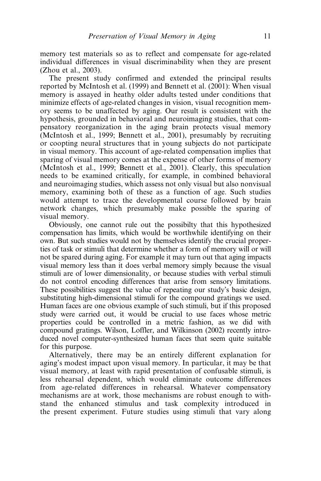memory test materials so as to reflect and compensate for age-related individual differences in visual discriminability when they are present (Zhou et al., 2003).

The present study confirmed and extended the principal results reported by McIntosh et al. (1999) and Bennett et al. (2001): When visual memory is assayed in heathy older adults tested under conditions that minimize effects of age-related changes in vision, visual recognition memory seems to be unaffected by aging. Our result is consistent with the hypothesis, grounded in behavioral and neuroimaging studies, that compensatory reorganization in the aging brain protects visual memory (McIntosh et al., 1999; Bennett et al., 2001), presumably by recruiting or coopting neural structures that in young subjects do not participate in visual memory. This account of age-related compensation implies that sparing of visual memory comes at the expense of other forms of memory (McIntosh et al., 1999; Bennett et al., 2001). Clearly, this speculation needs to be examined critically, for example, in combined behavioral and neuroimaging studies, which assess not only visual but also nonvisual memory, examining both of these as a function of age. Such studies would attempt to trace the developmental course followed by brain network changes, which presumably make possible the sparing of visual memory.

Obviously, one cannot rule out the possibilty that this hypothesized compensation has limits, which would be worthwhile identifying on their own. But such studies would not by themselves identify the crucial properties of task or stimuli that determine whether a form of memory will or will not be spared during aging. For example it may turn out that aging impacts visual memory less than it does verbal memory simply because the visual stimuli are of lower dimensionality, or because studies with verbal stimuli do not control encoding differences that arise from sensory limitations. These possibilities suggest the value of repeating our study's basic design, substituting high-dimensional stimuli for the compound gratings we used. Human faces are one obvious example of such stimuli, but if this proposed study were carried out, it would be crucial to use faces whose metric properties could be controlled in a metric fashion, as we did with compound gratings. Wilson, Loffler, and Wilkinson (2002) recently introduced novel computer-synthesized human faces that seem quite suitable for this purpose.

Alternatively, there may be an entirely different explanation for aging's modest impact upon visual memory. In particular, it may be that visual memory, at least with rapid presentation of confusable stimuli, is less rehearsal dependent, which would eliminate outcome differences from age-related differences in rehearsal. Whatever compensatory mechanisms are at work, those mechanisms are robust enough to withstand the enhanced stimulus and task complexity introduced in the present experiment. Future studies using stimuli that vary along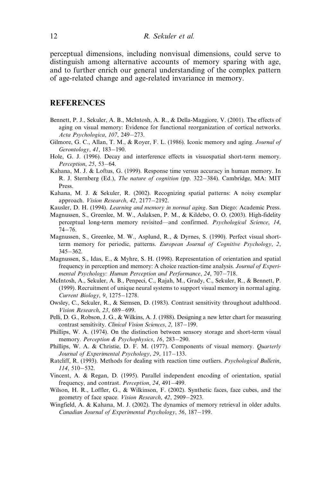perceptual dimensions, including nonvisual dimensions, could serve to distinguish among alternative accounts of memory sparing with age, and to further enrich our general understanding of the complex pattern of age-related change and age-related invariance in memory.

# REFERENCES

- Bennett, P. J., Sekuler, A. B., McIntosh, A. R., & Della-Maggiore, V. (2001). The effects of aging on visual memory: Evidence for functional reorganization of cortical networks. Acta Psychologica, 107, 249–273.
- Gilmore, G. C., Allan, T. M., & Royer, F. L. (1986). Iconic memory and aging. Journal of  $Gernology, 41, 183–190.$
- Hole, G. J. (1996). Decay and interference effects in visuospatial short-term memory. Perception, 25, 53-64.
- Kahana, M. J. & Loftus, G. (1999). Response time versus accuracy in human memory. In R. J. Sternberg (Ed.), *The nature of cognition* (pp. 322–384). Cambridge, MA: MIT Press.
- Kahana, M. J. & Sekuler, R. (2002). Recognizing spatial patterns: A noisy exemplar approach. Vision Research, 42, 2177-2192.
- Kausler, D. H. (1994). Learning and memory in normal aging. San Diego: Academic Press.
- Magnussen, S., Greenlee, M. W., Aslaksen, P. M., & Kildebo, O. O. (2003). High-fidelity perceptual long-term memory revisited—and confirmed. Psychological Science, 14,  $74 - 76.$
- Magnussen, S., Greenlee, M. W., Asplund, R., & Dyrnes, S. (1990). Perfect visual shortterm memory for periodic, patterns. European Journal of Cognitive Psychology, 2,  $345 - 362$ .
- Magnussen, S., Idas, E., & Myhre, S. H. (1998). Representation of orientation and spatial frequency in perception and memory: A choice reaction-time analysis. Journal of Experimental Psychology: Human Perception and Performance, 24,  $707-718$ .
- McIntosh, A., Sekuler, A. B., Penpeci, C., Rajah, M., Grady, C., Sekuler, R., & Bennett, P. (1999). Recruitment of unique neural systems to support visual memory in normal aging. Current Biology, 9, 1275-1278.
- Owsley, C., Sekuler, R., & Siemsen, D. (1983). Contrast sensitivity throughout adulthood. Vision Research, 23, 689-699.
- Pelli, D. G., Robson, J. G., & Wilkins, A. J. (1988). Designing a new letter chart for measuring contrast sensitivity. Clinical Vision Sciences, 2, 187-199.
- Phillips, W. A. (1974). On the distinction between sensory storage and short-term visual memory. Perception & Psychophysics, 16, 283-290.
- Phillips, W. A. & Christie, D. F. M. (1977). Components of visual memory. Quarterly Journal of Experimental Psychology, 29, 117–133.
- Ratcliff, R. (1993). Methods for dealing with reaction time outliers. Psychological Bulletin,  $114, 510 - 532.$
- Vincent, A. & Regan, D. (1995). Parallel independent encoding of orientation, spatial frequency, and contrast. *Perception*, 24, 491-499.
- Wilson, H. R., Loffler, G., & Wilkinson, F. (2002). Synthetic faces, face cubes, and the geometry of face space. Vision Research, 42, 2909-2923.
- Wingfield, A. & Kahana, M. J. (2002). The dynamics of memory retrieval in older adults. Canadian Journal of Experimental Psychology, 56,  $187-199$ .